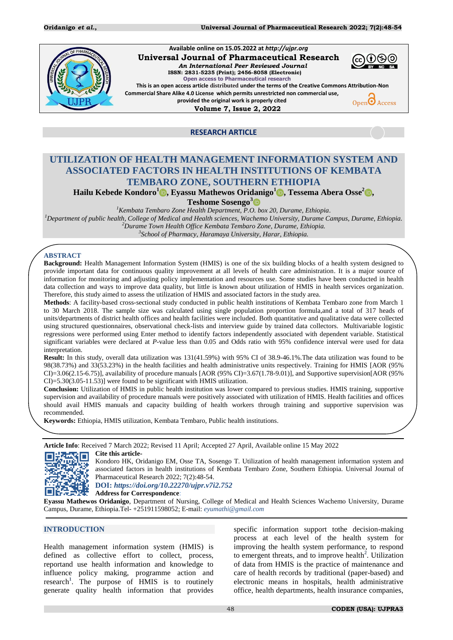

 **Available online on 15.05.2022 at** *http://ujpr.org*  **Universal Journal of Pharmaceutical Research**  *An International Peer Reviewed Journal*  **ISSN: 2831-5235 (Print); 2456-8058 (Electronic) Open access to Pharmaceutical research**



**This is an open access article distributed under the terms of the Creative Commons Attribution-Non Commercial Share Alike 4.0 License which permits unrestricted non commercial use, provided the original work is properly cited**  $Open\bigodot$  Access

 **Volume 7, Issue 2, 2022**



# **RESEARCH ARTICLE**

# **UTILIZATION OF HEALTH MANAGEMENT INFORMATION SYSTEM AND ASSOCIATED FACTORS IN HEALTH INSTITUTIONS OF KEMBATA TEMBARO ZONE, SOUTHERN ETHIOPIA**

**Hailu Kebede Kondoro<sup>1</sup> , Eyassu Mathewos Oridanigo<sup>1</sup> , Tessema Abera Osse<sup>2</sup> ,**

**Teshome Sosengo<sup>3</sup>**

*Kembata Tembaro Zone Health Department, P.O. box 20, Durame, Ethiopia. Department of public health, College of Medical and Health sciences, Wachemo University, Durame Campus, Durame, Ethiopia. Durame Town Health Office Kembata Tembaro Zone, Durame, Ethiopia. School of Pharmacy, Haramaya University, Harar, Ethiopia.* 

### **ABSTRACT**

**Background:** Health Management Information System (HMIS) is one of the six building blocks of a health system designed to provide important data for continuous quality improvement at all levels of health care administration. It is a major source of information for monitoring and adjusting policy implementation and resources use. Some studies have been conducted in health data collection and ways to improve data quality, but little is known about utilization of HMIS in health services organization. Therefore, this study aimed to assess the utilization of HMIS and associated factors in the study area.

**Methods**: A facility-based cross-sectional study conducted in public health institutions of Kembata Tembaro zone from March 1 to 30 March 2018. The sample size was calculated using single population proportion formula,and a total of 317 heads of units/departments of district health offices and health facilities were included. Both quantitative and qualitative data were collected using structured questionnaires, observational check-lists and interview guide by trained data collectors. Multivariable logistic regressions were performed using Enter method to identify factors independently associated with dependent variable. Statistical significant variables were declared at *P*-value less than 0.05 and Odds ratio with 95% confidence interval were used for data interpretation.

**Result:** In this study, overall data utilization was 131(41.59%) with 95% CI of 38.9-46.1%.The data utilization was found to be 98(38.73%) and 33(53.23%) in the health facilities and health administrative units respectively. Training for HMIS [AOR (95%  $CI$ )=3.06(2.15-6.75)], availability of procedure manuals  $[AOR (95% CI) = 3.67(1.78-9.01)]$ , and Supportive supervision $[AOR (95% CI) = 3.67(1.78-9.01)]$ CI)=5.30(3.05-11.53)] were found to be significant with HMIS utilization.

**Conclusion:** Utilization of HMIS in public health institution was lower compared to previous studies. HMIS training, supportive supervision and availability of procedure manuals were positively associated with utilization of HMIS. Health facilities and offices should avail HMIS manuals and capacity building of health workers through training and supportive supervision was recommended.

**Keywords:** Ethiopia, HMIS utilization, Kembata Tembaro, Public health institutions.

**Article Info**: Received 7 March 2022; Revised 11 April; Accepted 27 April, Available online 15 May 2022



**Cite this article-**Kondoro HK, Oridanigo EM, Osse TA, Sosengo T. Utilization of health management information system and associated factors in health institutions of Kembata Tembaro Zone, Southern Ethiopia. Universal Journal of Pharmaceutical Research 2022; 7(2):48-54.

#### **DOI:** *<https://doi.org/10.22270/ujpr.v7i2.752>*

**Address for Correspondence**:

**Eyassu Mathewos Oridanigo**, Department of Nursing, College of Medical and Health Sciences Wachemo University, Durame Campus, Durame, Ethiopia.Tel- +251911598052; E-mail: *[eyumathi@gmail.com](mailto:eyumathi@gmail.com)*

### **INTRODUCTION**

Health management information system (HMIS) is defined as collective effort to collect, process, reportand use health information and knowledge to influence policy making, programme action and research<sup>1</sup>[.](#page-5-0) The purpose of HMIS is to routinely generate quality health information that provides

specific information support tothe decision-making process at each level of the health system for improving the health system performance, to respond to emergent threats, and to improve health<sup>2</sup>[.](#page-5-1) Utilization of data from HMIS is the practice of maintenance and care of health records by traditional (paper-based) and electronic means in hospitals, health administrative office, health departments, health insurance companies,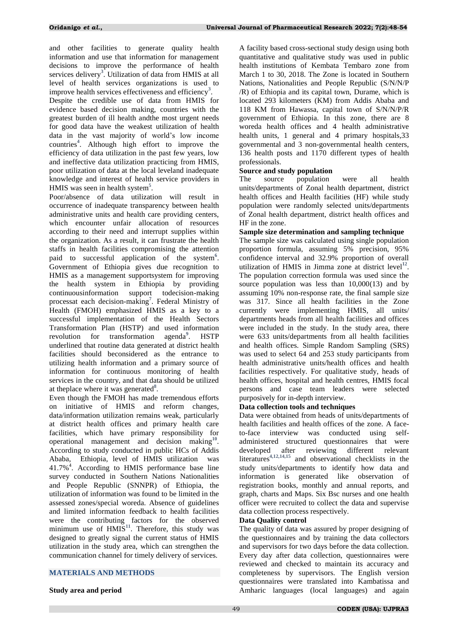and other facilities to generate quality health information and use that information for management decisions to improve the performance of health services deliver[y](#page-5-2)<sup>3</sup>. Utilization of data from HMIS at all level of health services organizations is used to improve health services effectiveness and efficiency**[3](#page-5-2)** .

Despite the credible use of data from HMIS for evidence based decision making, countries with the greatest burden of ill health andthe most urgent needs for good data have the weakest utilization of health data in the vast majority of world's low income countries**<sup>4</sup>** [.](#page-6-0) Although high effort to improve the efficiency of data utilization in the past few years, low and ineffective data utilization practicing from HMIS, poor utilization of data at the local leveland inadequate knowledge and interest of health service providers in HMIS was seen in health syste[m](#page-6-1)**<sup>5</sup>** .

Poor/absence of data utilization will result in occurrence of inadequate transparency between health administrative units and health care providing centers, which encounter unfair allocation of resources according to their need and interrupt supplies within the organization. As a result, it can frustrate the health staffs in health facilities compromising the attention paid to successful application of the system**<sup>6</sup>** [.](#page-6-2) Government of Ethiopia gives due recognition to HMIS as a management supportsystem for improving the health system in Ethiopia by providing continuousinformation support todecision-making processat each decision-making**[7](#page-6-3)** . Federal Ministry of Health (FMOH) emphasized HMIS as a key to a successful implementation of the Health Sectors Transformation Plan (HSTP) and used information revolution for tr[a](#page-6-4)nsformation agenda<sup>9</sup>. HSTP underlined that routine data generated at district health facilities should beconsidered as the entrance to utilizing health information and a primary source of information for continuous monitoring of health services in the country, and that data should be utilized at theplace where it was generated**<sup>8</sup>** [.](#page-6-5)

Even though the FMOH has made tremendous efforts on initiative of HMIS and reform changes, data/information utilization remains weak, particularly at district health offices and primary health care facilities, which have primary responsibility for operational management and decision making**[10](#page-6-6)** . According to study conducted in public HCs of Addis Ababa, Ethiopia, level of HMIS utilization was 41.7%<sup>4</sup>. According to HMIS performance base line survey conducted in Southern Nations Nationalities and People Republic (SNNPR) of Ethiopia, the utilization of information was found to be limited in the assessed zones/special woreda. Absence of guidelines and limited information feedback to health facilities were the contributing factors for the observed minimum use of HMIS<sup>[11](#page-6-7)</sup>. Therefore, this study was designed to greatly signal the current status of HMIS utilization in the study area, which can strengthen the communication channel for timely delivery of services.

#### **MATERIALS AND METHODS**

#### **Study area and period**

A facility based cross-sectional study design using both quantitative and qualitative study was used in public health institutions of Kembata Tembaro zone from March 1 to 30, 2018. The Zone is located in Southern Nations, Nationalities and People Republic (S/N/N/P /R) of Ethiopia and its capital town, Durame, which is located 293 kilometers (KM) from Addis Ababa and 118 KM from Hawassa, capital town of S/N/N/P/R government of Ethiopia. In this zone, there are 8 woreda health offices and 4 health administrative health units, 1 general and 4 primary hospitals,33 governmental and 3 non-governmental health centers, 136 health posts and 1170 different types of health professionals.

#### **Source and study population**

The source population were all health units/departments of Zonal health department, district health offices and Health facilities (HF) while study population were randomly selected units/departments of Zonal health department, district health offices and HF in the zone.

#### **Sample size determination and sampling technique**

The sample size was calculated using single population proportion formula, assuming 5% precision, 95% confidence interval and 32.9% proportion of overall utilization of HMIS in Jimma zone at district level<sup>[12](#page-6-8)</sup>. The population correction formula was used since the source population was less than 10,000(13) and by assuming 10% non-response rate, the final sample size was 317. Since all health facilities in the Zone currently were implementing HMIS, all units/ departments heads from all health facilities and offices were included in the study. In the study area, there were 633 units/departments from all health facilities and health offices. Simple Random Sampling (SRS) was used to select 64 and 253 study participants from health administrative units/health offices and health facilities respectively. For qualitative study, heads of health offices, hospital and health centres, HMIS focal persons and case team leaders were selected purposively for in-depth interview.

#### **Data collection tools and techniques**

Data were obtained from heads of units/departments of health facilities and health offices of the zone. A faceto-face interview was conducted using selfadministered structured questionnaires that were developed after reviewing different relevant literatures**[4,](#page-6-0)[12,](#page-6-8)[14,](#page-6-9)[15](#page-6-10)** and observational checklists in the study units/departments to identify how data and information is generated like observation of registration books, monthly and annual reports, and graph, charts and Maps. Six Bsc nurses and one health officer were recruited to collect the data and supervise data collection process respectively.

#### **Data Quality control**

The quality of data was assured by proper designing of the questionnaires and by training the data collectors and supervisors for two days before the data collection. Every day after data collection, questionnaires were reviewed and checked to maintain its accuracy and completeness by supervisors. The English version questionnaires were translated into Kambatissa and Amharic languages (local languages) and again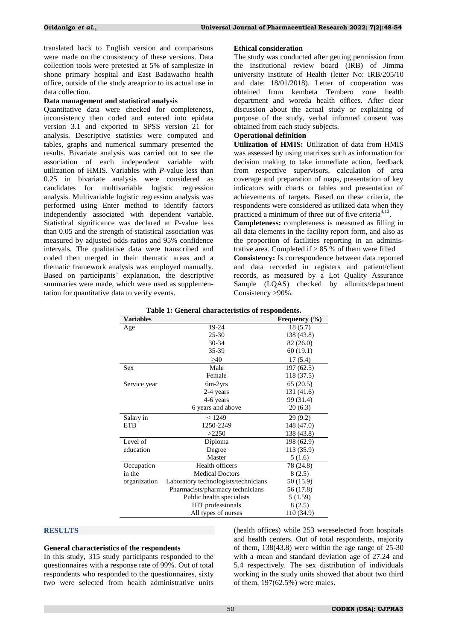translated back to English version and comparisons were made on the consistency of these versions. Data collection tools were pretested at 5% of samplesize in shone primary hospital and East Badawacho health office, outside of the study areaprior to its actual use in data collection.

#### **Data management and statistical analysis**

Quantitative data were checked for completeness, inconsistency then coded and entered into epidata version 3.1 and exported to SPSS version 21 for analysis. Descriptive statistics were computed and tables, graphs and numerical summary presented the results*.* Bivariate analysis was carried out to see the association of each independent variable with utilization of HMIS. Variables with *P*-value less than 0.25 in bivariate analysis were considered as candidates for multivariable logistic regression analysis. Multivariable logistic regression analysis was performed using Enter method to identify factors independently associated with dependent variable. Statistical significance was declared at *P*-value less than 0.05 and the strength of statistical association was measured by adjusted odds ratios and 95% confidence intervals. The qualitative data were transcribed and coded then merged in their thematic areas and a thematic framework analysis was employed manually. Based on participants' explanation, the descriptive summaries were made, which were used as supplementation for quantitative data to verify events.

#### **Ethical consideration**

The study was conducted after getting permission from the institutional review board (IRB) of Jimma university institute of Health (letter No: IRB/205/10 and date: 18/01/2018). Letter of cooperation was obtained from kembeta Tembero zone health department and woreda health offices. After clear discussion about the actual study or explaining of purpose of the study, verbal informed consent was obtained from each study subjects.

### **Operational definition**

**Utilization of HMIS:** Utilization of data from HMIS was assessed by using matrixes such as information for decision making to take immediate action, feedback from respective supervisors, calculation of area coverage and preparation of maps, presentation of key indicators with charts or tables and presentation of achievements of targets. Based on these criteria, the respondents were considered as utilized data when they practiced a minimum of three out of five criteria**[4,](#page-6-0)[12](#page-6-8)** .

**Completeness:** completeness is measured as filling in all data elements in the facility report form, and also as the proportion of facilities reporting in an administrative area. Completed if  $> 85$  % of them were filled

**Consistency:** Is correspondence between data reported and data recorded in registers and patient/client records, as measured by a Lot Quality Assurance Sample (LQAS) checked by allunits/department Consistency >90%.

| Variables    |                                      | Frequency $(\% )$ |
|--------------|--------------------------------------|-------------------|
| Age          | 19-24                                | 18(5.7)           |
|              | $25 - 30$                            | 138 (43.8)        |
|              | 30-34                                | 82 (26.0)         |
|              | 35-39                                | 60(19.1)          |
|              | >40                                  | 17(5.4)           |
| <b>Sex</b>   | Male                                 | 197(62.5)         |
|              | Female                               | 118 (37.5)        |
| Service year | 6m-2yrs                              | 65(20.5)          |
|              | 2-4 years                            | 131 (41.6)        |
|              | 4-6 years                            | 99 (31.4)         |
|              | 6 years and above                    | 20(6.3)           |
| Salary in    | < 1249                               | 29(9.2)           |
| ETB          | 1250-2249                            | 148 (47.0)        |
|              | >2250                                | 138 (43.8)        |
| Level of     | Diploma                              | 198 (62.9)        |
| education    | Degree                               | 113 (35.9)        |
|              | Master                               | 5(1.6)            |
| Occupation   | Health officers                      | 78 (24.8)         |
| in the       | <b>Medical Doctors</b>               | 8(2.5)            |
| organization | Laboratory technologists/technicians | 50 (15.9)         |
|              | Pharmacists/pharmacy technicians     | 56 (17.8)         |
|              | Public health specialists            | 5(1.59)           |
|              | HIT professionals                    | 8(2.5)            |
|              | All types of nurses                  | 110 (34.9)        |

|  |  | Table 1: General characteristics of respondents. |  |  |
|--|--|--------------------------------------------------|--|--|
|--|--|--------------------------------------------------|--|--|

### **RESULTS**

#### **General characteristics of the respondents**

In this study, 315 study participants responded to the questionnaires with a response rate of 99%. Out of total respondents who responded to the questionnaires, sixty two were selected from health administrative units (health offices) while 253 wereselected from hospitals and health centers. Out of total respondents, majority of them, 138(43.8) were within the age range of 25-30 with a mean and standard deviation age of 27.24 and 5.4 respectively. The sex distribution of individuals working in the study units showed that about two third of them, 197(62.5%) were males.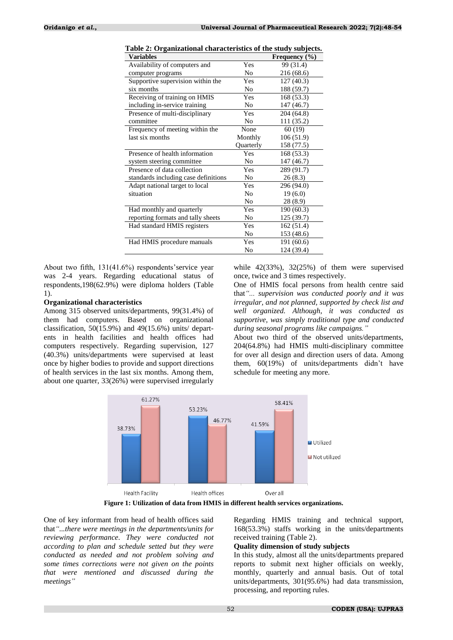| <b>Variables</b>                     |                | Frequency $(\% )$ |
|--------------------------------------|----------------|-------------------|
| Availability of computers and        | Yes            | 99 (31.4)         |
| computer programs                    | No.            | 216 (68.6)        |
| Supportive supervision within the    | Yes            | 127(40.3)         |
| six months                           | No             | 188 (59.7)        |
| Receiving of training on HMIS        | Yes            | 168 (53.3)        |
| including in-service training        | N <sub>o</sub> | 147 (46.7)        |
| Presence of multi-disciplinary       | Yes            | 204 (64.8)        |
| committee                            | No             | 111 (35.2)        |
| Frequency of meeting within the      | None           | 60(19)            |
| last six months                      | Monthly        | 106 (51.9)        |
|                                      | Quarterly      | 158 (77.5)        |
| Presence of health information       | Yes            | 168 (53.3)        |
| system steering committee            | No             | 147 (46.7)        |
| Presence of data collection          | Yes            | 289 (91.7)        |
| standards including case definitions | No             | 26(8.3)           |
| Adapt national target to local       | Yes            | 296 (94.0)        |
| situation                            | N <sub>0</sub> | 19(6.0)           |
|                                      | N <sub>o</sub> | 28 (8.9)          |
| Had monthly and quarterly            | Yes            | 190(60.3)         |
| reporting formats and tally sheets   | No             | 125 (39.7)        |
| Had standard HMIS registers          | Yes            | 162(51.4)         |
|                                      | No             | 153 (48.6)        |
| Had HMIS procedure manuals           | Yes            | 191 (60.6)        |
|                                      | No             | 124 (39.4)        |

| Table 2: Organizational characteristics of the study subjects. |  |  |
|----------------------------------------------------------------|--|--|
|                                                                |  |  |

About two fifth, 131(41.6%) respondents'service year was 2-4 years. Regarding educational status of respondents,198(62.9%) were diploma holders (Table 1).

#### **Organizational characteristics**

Among 315 observed units/departments, 99(31.4%) of them had computers. Based on organizational classification,  $50(15.9%)$  and  $49(15.6%)$  units/departents in health facilities and health offices had computers respectively. Regarding supervision, 127 (40.3%) units/departments were supervised at least once by higher bodies to provide and support directions of health services in the last six months. Among them, about one quarter, 33(26%) were supervised irregularly while  $42(33\%)$ ,  $32(25\%)$  of them were supervised once, twice and 3 times respectively.

One of HMIS focal persons from health centre said that*"... supervision was conducted poorly and it was irregular, and not planned, supported by check list and well organized. Although, it was conducted as supportive, was simply traditional type and conducted during seasonal programs like campaigns."*

About two third of the observed units/departments, 204(64.8%) had HMIS multi-disciplinary committee for over all design and direction users of data. Among them, 60(19%) of units/departments didn't have schedule for meeting any more.



**Figure 1: Utilization of data from HMIS in different health services organizations.**

One of key informant from head of health offices said that*"...there were meetings in the departments/units for reviewing performance. They were conducted not according to plan and schedule setted but they were conducted as needed and not problem solving and some times corrections were not given on the points that were mentioned and discussed during the meetings"*

Regarding HMIS training and technical support, 168(53.3%) staffs working in the units/departments received training (Table 2).

## **Quality dimension of study subjects**

In this study, almost all the units/departments prepared reports to submit next higher officials on weekly, monthly, quarterly and annual basis. Out of total units/departments, 301(95.6%) had data transmission, processing, and reporting rules.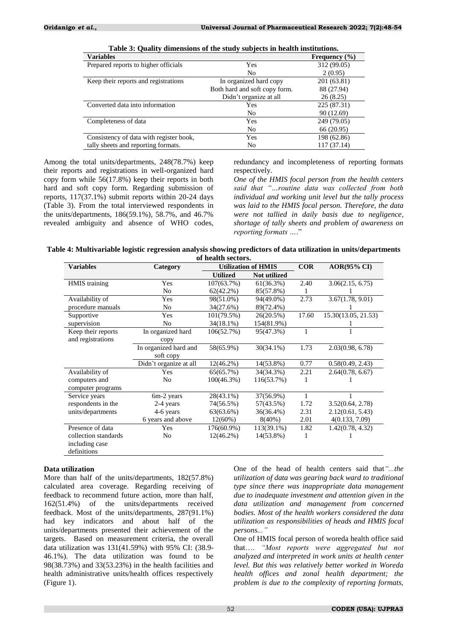| <b>Variables</b>                        |                               | Frequency $(\% )$ |
|-----------------------------------------|-------------------------------|-------------------|
| Prepared reports to higher officials    | Yes                           | 312 (99.05)       |
|                                         | No                            | 2(0.95)           |
| Keep their reports and registrations    | In organized hard copy        | 201 (63.81)       |
|                                         | Both hard and soft copy form. | 88 (27.94)        |
|                                         | Didn't organize at all        | 26(8.25)          |
| Converted data into information         | <b>Yes</b>                    | 225 (87.31)       |
|                                         | No                            | 90 (12.69)        |
| Completeness of data                    | Yes                           | 249 (79.05)       |
|                                         | N <sub>0</sub>                | 66 (20.95)        |
| Consistency of data with register book, | Yes                           | 198 (62.86)       |
| tally sheets and reporting formats.     | No                            | 117 (37.14)       |

**Table 3: Quality dimensions of the study subjects in health institutions.**

Among the total units/departments, 248(78.7%) keep their reports and registrations in well-organized hard copy form while 56(17.8%) keep their reports in both hard and soft copy form. Regarding submission of reports, 117(37.1%) submit reports within 20-24 days (Table 3). From the total interviewed respondents in the units/departments, 186(59.1%), 58.7%, and 46.7% revealed ambiguity and absence of WHO codes, redundancy and incompleteness of reporting formats respectively.

*One of the HMIS focal person from the health centers said that "…routine data was collected from both individual and working unit level but the tally process was laid to the HMIS focal person. Therefore, the data were not tallied in daily basis due to negligence, shortage of tally sheets and problem of awareness on reporting formats …*."

| Table 4: Multivariable logistic regression analysis showing predictors of data utilization in units/departments |
|-----------------------------------------------------------------------------------------------------------------|
| of health sectors.                                                                                              |

| <b>Variables</b>     | Category               | <b>Utilization of HMIS</b> |              | COR          | <b>AOR(95% CI)</b>  |
|----------------------|------------------------|----------------------------|--------------|--------------|---------------------|
|                      |                        | <b>Utilized</b>            | Not utilized |              |                     |
| HMIS training        | Yes                    | 107(63.7%)                 | 61(36.3%)    | 2.40         | 3.06(2.15, 6.75)    |
|                      | No                     | $62(42.2\%)$               | 85(57.8%)    | 1            |                     |
| Availability of      | Yes                    | 98(51.0%)                  | 94(49.0%)    | 2.73         | 3.67(1.78, 9.01)    |
| procedure manuals    | No                     | 34(27.6%)                  | 89(72.4%)    |              |                     |
| Supportive           | Yes                    | 101(79.5%)                 | 26(20.5%)    | 17.60        | 15.30(13.05, 21.53) |
| supervision          | N <sub>o</sub>         | 34(18.1%)                  | 154(81.9%)   |              |                     |
| Keep their reports   | In organized hard      | 106(52.7%)                 | 95(47.3%)    | $\mathbf{1}$ |                     |
| and registrations    | copy                   |                            |              |              |                     |
|                      | In organized hard and  | 58(65.9%)                  | $30(34.1\%)$ | 1.73         | 2.03(0.98, 6.78)    |
|                      | soft copy              |                            |              |              |                     |
|                      | Didn't organize at all | $12(46.2\%)$               | 14(53.8%)    | 0.77         | 0.58(0.49, 2.43)    |
| Availability of      | Yes                    | 65(65.7%)                  | 34(34.3%)    | 2.21         | 2.64(0.78, 6.67)    |
| computers and        | No                     | $100(46.3\%)$              | 116(53.7%)   | 1            |                     |
| computer programs    |                        |                            |              |              |                     |
| Service years        | 6m-2 years             | $28(43.1\%)$               | 37(56.9%)    | 1            |                     |
| respondents in the   | 2-4 years              | 74(56.5%)                  | 57(43.5%)    | 1.72         | 3.52(0.64, 2.78)    |
| units/departments    | 4-6 years              | 63(63.6%)                  | 36(36.4%)    | 2.31         | 2.12(0.61, 5.43)    |
|                      | 6 years and above      | $12(60\%)$                 | $8(40\%)$    | 2.01         | 4(0.133, 7.09)      |
| Presence of data     | Yes                    | 176(60.9%)                 | 113(39.1%)   | 1.82         | 1.42(0.78, 4.32)    |
| collection standards | No                     | $12(46.2\%)$               | 14(53.8%)    | 1            |                     |
| including case       |                        |                            |              |              |                     |
| definitions          |                        |                            |              |              |                     |

# **Data utilization**

More than half of the units/departments, 182(57.8%) calculated area coverage. Regarding receiving of feedback to recommend future action, more than half, 162(51.4%) of the units/departments received feedback. Most of the units/departments, 287(91.1%) had key indicators and about half of the units/departments presented their achievement of the targets. Based on measurement criteria, the overall data utilization was 131(41.59%) with 95% CI: (38.9- 46.1%). The data utilization was found to be 98(38.73%) and 33(53.23%) in the health facilities and health administrative units/health offices respectively (Figure 1).

One of the head of health centers said that*"...the utilization of data was gearing back ward to traditional type since there was inappropriate data management due to inadequate investment and attention given in the data utilization and management from concerned bodies. Most of the health workers considered the data utilization as responsibilities of heads and HMIS focal persons..."*

One of HMIS focal person of woreda health office said that…. *"Most reports were aggregated but not analyzed and interpreted in work units at health center level. But this was relatively better worked in Woreda health offices and zonal health department; the problem is due to the complexity of reporting formats,*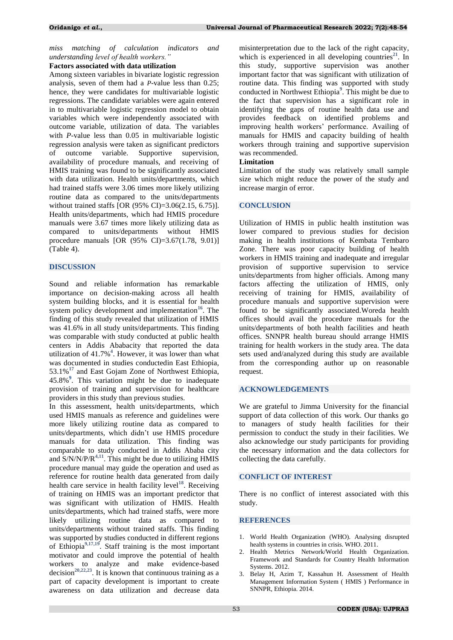# *miss matching of calculation indicators and understanding level of health workers."*

### **Factors associated with data utilization**

Among sixteen variables in bivariate logistic regression analysis, seven of them had a *P*-value less than 0.25; hence, they were candidates for multivariable logistic regressions. The candidate variables were again entered in to multivariable logistic regression model to obtain variables which were independently associated with outcome variable, utilization of data. The variables with *P*-value less than 0.05 in multivariable logistic regression analysis were taken as significant predictors of outcome variable. Supportive supervision, availability of procedure manuals, and receiving of HMIS training was found to be significantly associated with data utilization. Health units/departments, which had trained staffs were 3.06 times more likely utilizing routine data as compared to the units/departments without trained staffs [OR (95% CI)=3.06(2.15, 6.75)]. Health units/departments, which had HMIS procedure manuals were 3.67 times more likely utilizing data as compared to units/departments without HMIS procedure manuals [OR (95% CI)=3.67(1.78, 9.01)] (Table 4).

### **DISCUSSION**

Sound and reliable information has remarkable importance on decision-making across all health system building blocks, and it is essential for health system policy development and implementation<sup>[16](#page-6-11)</sup>. The finding of this study revealed that utilization of HMIS was 41.6% in all study units/departments. This finding was comparable with study conducted at public health centers in Addis Ababacity that reported the data utilization of 41.7%**<sup>4</sup>** [.](#page-6-0) However, it was lower than what was documented in studies conductedin East Ethiopia, 53.1%<sup>[17](#page-6-12)</sup> and East Gojam Zone of Northwest Ethiopia, 45.8%**<sup>9</sup>** . This variation might be due to inadequate provision of training and supervision for healthcare providers in this study than previous studies.

In this assessment, health units/departments, which used HMIS manuals as reference and guidelines were more likely utilizing routine data as compared to units/departments, which didn't use HMIS procedure manuals for data utilization. This finding was comparable to study conducted in Addis Ababa city and S/N/N/P/R**[4,](#page-6-0)[11](#page-6-7)** . This might be due to utilizing HMIS procedure manual may guide the operation and used as reference for routine health data generated from daily health care service in health facility level<sup>[18](#page-6-13)</sup>. Receiving of training on HMIS was an important predictor that was significant with utilization of HMIS. Health units/departments, which had trained staffs, were more likely utilizing routine data as compared to units/departments without trained staffs. This finding was supported by studies conducted in different regions of Ethiopia**[9,](#page-6-4)[17,](#page-6-12)[19](#page-6-14)** . Staff training is the most important motivator and could improve the potential of health workers to analyze and make evidence-based decision<sup> $20,22,23$  $20,22,23$  $20,22,23$ </sup>. It is known that continuous training as a part of capacity development is important to create awareness on data utilization and decrease data misinterpretation due to the lack of the right capacity, which is experienced in all developing countries<sup>[21](#page-6-18)</sup>. In this study, supportive supervision was another important factor that was significant with utilization of routine data. This finding was supported with study conducted in Northwest Ethiopi[a](#page-6-4)**<sup>9</sup>** . This might be due to the fact that supervision has a significant role in identifying the gaps of routine health data use and provides feedback on identified problems and improving health workers' performance. Availing of manuals for HMIS and capacity building of health workers through training and supportive supervision was recommended.

# **Limitation**

Limitation of the study was relatively small sample size which might reduce the power of the study and increase margin of error.

### **CONCLUSION**

Utilization of HMIS in public health institution was lower compared to previous studies for decision making in health institutions of Kembata Tembaro Zone. There was poor capacity building of health workers in HMIS training and inadequate and irregular provision of supportive supervision to service units/departments from higher officials. Among many factors affecting the utilization of HMIS, only receiving of training for HMIS, availability of procedure manuals and supportive supervision were found to be significantly associated.Woreda health offices should avail the procedure manuals for the units/departments of both health facilities and heath offices. SNNPR health bureau should arrange HMIS training for health workers in the study area. The data sets used and/analyzed during this study are available from the corresponding author up on reasonable request.

### **ACKNOWLEDGEMENTS**

We are grateful to Jimma University for the financial support of data collection of this work. Our thanks go to managers of study health facilities for their permission to conduct the study in their facilities. We also acknowledge our study participants for providing the necessary information and the data collectors for collecting the data carefully.

#### **CONFLICT OF INTEREST**

There is no conflict of interest associated with this study.

### **REFERENCES**

- <span id="page-5-0"></span>1. World Health Organization (WHO). Analysing disrupted health systems in countries in crisis. WHO. 2011.
- <span id="page-5-1"></span>2. Health Metrics Network/World Health Organization. Framework and Standards for Country Health Information Systems. 2012.
- <span id="page-5-2"></span>3. Belay H, Azim T, Kassahun H. Assessment of Health Management Information System ( HMIS ) Performance in SNNPR, Ethiopia. 2014.